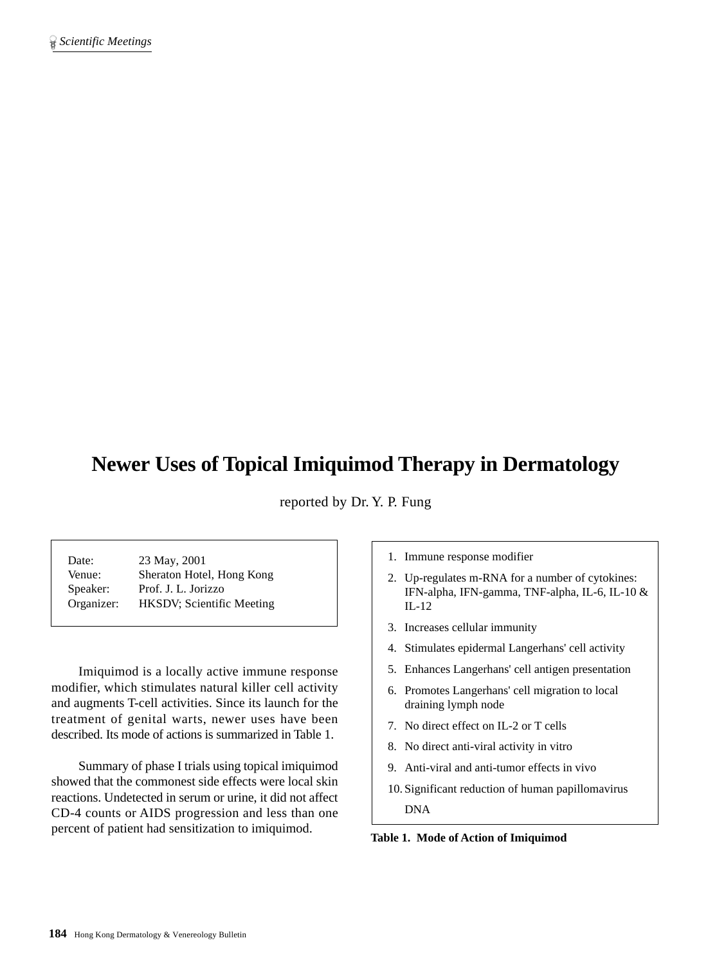# **Newer Uses of Topical Imiquimod Therapy in Dermatology**

reported by Dr. Y. P. Fung

Date: 23 May, 2001 Venue: Sheraton Hotel, Hong Kong Speaker: Prof. J. L. Jorizzo Organizer: HKSDV; Scientific Meeting

Imiquimod is a locally active immune response modifier, which stimulates natural killer cell activity and augments T-cell activities. Since its launch for the treatment of genital warts, newer uses have been described. Its mode of actions is summarized in Table 1.

Summary of phase I trials using topical imiquimod showed that the commonest side effects were local skin reactions. Undetected in serum or urine, it did not affect CD-4 counts or AIDS progression and less than one percent of patient had sensitization to imiquimod.

1. Immune response modifier

- 2. Up-regulates m-RNA for a number of cytokines: IFN-alpha, IFN-gamma, TNF-alpha, IL-6, IL-10 & IL-12
- 3. Increases cellular immunity
- 4. Stimulates epidermal Langerhans' cell activity
- 5. Enhances Langerhans' cell antigen presentation
- 6. Promotes Langerhans' cell migration to local draining lymph node
- 7. No direct effect on IL-2 or T cells
- 8. No direct anti-viral activity in vitro
- 9. Anti-viral and anti-tumor effects in vivo
- 10. Significant reduction of human papillomavirus DNA

**Table 1. Mode of Action of Imiquimod**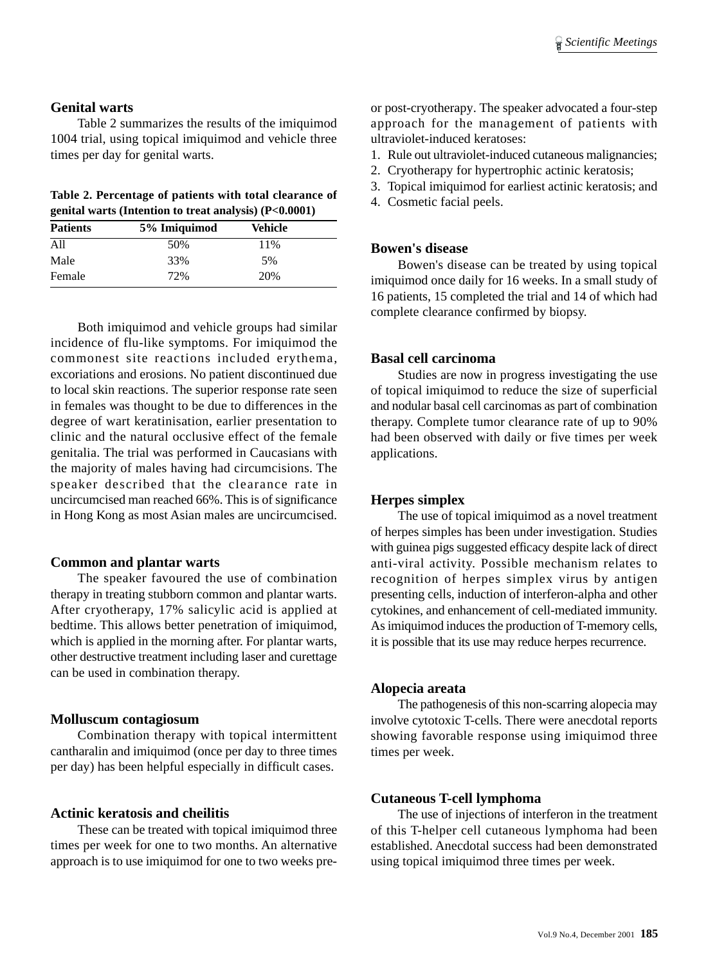#### **Genital warts**

Table 2 summarizes the results of the imiquimod 1004 trial, using topical imiquimod and vehicle three times per day for genital warts.

|  |  |  | Table 2. Percentage of patients with total clearance of |  |
|--|--|--|---------------------------------------------------------|--|
|  |  |  | genital warts (Intention to treat analysis) (P<0.0001)  |  |

| <b>Patients</b> | 5% Imiquimod | Vehicle |  |
|-----------------|--------------|---------|--|
| All             | 50%          | 11%     |  |
| Male            | 33%          | 5%      |  |
| Female          | 72%          | 20%     |  |

Both imiquimod and vehicle groups had similar incidence of flu-like symptoms. For imiquimod the commonest site reactions included erythema, excoriations and erosions. No patient discontinued due to local skin reactions. The superior response rate seen in females was thought to be due to differences in the degree of wart keratinisation, earlier presentation to clinic and the natural occlusive effect of the female genitalia. The trial was performed in Caucasians with the majority of males having had circumcisions. The speaker described that the clearance rate in uncircumcised man reached 66%. This is of significance in Hong Kong as most Asian males are uncircumcised.

#### **Common and plantar warts**

The speaker favoured the use of combination therapy in treating stubborn common and plantar warts. After cryotherapy, 17% salicylic acid is applied at bedtime. This allows better penetration of imiquimod, which is applied in the morning after. For plantar warts, other destructive treatment including laser and curettage can be used in combination therapy.

## **Molluscum contagiosum**

Combination therapy with topical intermittent cantharalin and imiquimod (once per day to three times per day) has been helpful especially in difficult cases.

## **Actinic keratosis and cheilitis**

These can be treated with topical imiquimod three times per week for one to two months. An alternative approach is to use imiquimod for one to two weeks preor post-cryotherapy. The speaker advocated a four-step approach for the management of patients with ultraviolet-induced keratoses:

- 1. Rule out ultraviolet-induced cutaneous malignancies;
- 2. Cryotherapy for hypertrophic actinic keratosis;
- 3. Topical imiquimod for earliest actinic keratosis; and
- 4. Cosmetic facial peels.

#### **Bowen's disease**

Bowen's disease can be treated by using topical imiquimod once daily for 16 weeks. In a small study of 16 patients, 15 completed the trial and 14 of which had complete clearance confirmed by biopsy.

## **Basal cell carcinoma**

Studies are now in progress investigating the use of topical imiquimod to reduce the size of superficial and nodular basal cell carcinomas as part of combination therapy. Complete tumor clearance rate of up to 90% had been observed with daily or five times per week applications.

## **Herpes simplex**

The use of topical imiquimod as a novel treatment of herpes simples has been under investigation. Studies with guinea pigs suggested efficacy despite lack of direct anti-viral activity. Possible mechanism relates to recognition of herpes simplex virus by antigen presenting cells, induction of interferon-alpha and other cytokines, and enhancement of cell-mediated immunity. As imiquimod induces the production of T-memory cells, it is possible that its use may reduce herpes recurrence.

#### **Alopecia areata**

The pathogenesis of this non-scarring alopecia may involve cytotoxic T-cells. There were anecdotal reports showing favorable response using imiquimod three times per week.

## **Cutaneous T-cell lymphoma**

The use of injections of interferon in the treatment of this T-helper cell cutaneous lymphoma had been established. Anecdotal success had been demonstrated using topical imiquimod three times per week.